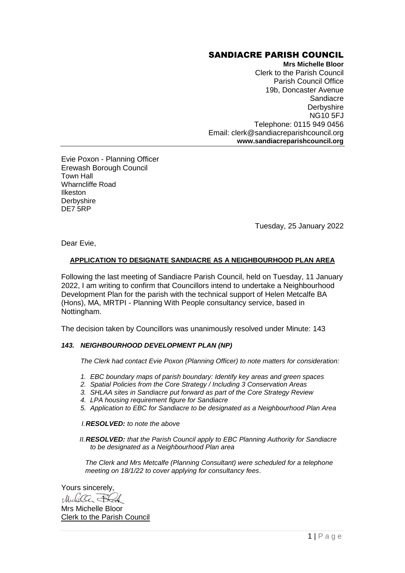# SANDIACRE PARISH COUNCIL

**Mrs Michelle Bloor**  Clerk to the Parish Council Parish Council Office 19b, Doncaster Avenue **Sandiacre Derbyshire** NG10 5FJ Telephone: 0115 949 0456 Email: clerk@sandiacreparishcouncil.org **www.sandiacreparishcouncil.org**

Evie Poxon - Planning Officer Erewash Borough Council Town Hall Wharncliffe Road Ilkeston **Derbyshire** DE7 5RP

Tuesday, 25 January 2022

Dear Evie,

# **APPLICATION TO DESIGNATE SANDIACRE AS A NEIGHBOURHOOD PLAN AREA**

Following the last meeting of Sandiacre Parish Council, held on Tuesday, 11 January 2022, I am writing to confirm that Councillors intend to undertake a Neighbourhood Development Plan for the parish with the technical support of Helen Metcalfe BA (Hons), MA, MRTPI - Planning With People consultancy service, based in Nottingham.

The decision taken by Councillors was unanimously resolved under Minute: 143

### *143. NEIGHBOURHOOD DEVELOPMENT PLAN (NP)*

*The Clerk had contact Evie Poxon (Planning Officer) to note matters for consideration:* 

- *1. EBC boundary maps of parish boundary: Identify key areas and green spaces*
- *2. Spatial Policies from the Core Strategy / Including 3 Conservation Areas*
- *3. SHLAA sites in Sandiacre put forward as part of the Core Strategy Review*
- *4. LPA housing requirement figure for Sandiacre*
- *5. Application to EBC for Sandiacre to be designated as a Neighbourhood Plan Area*

*I.RESOLVED: to note the above*

*II.RESOLVED: that the Parish Council apply to EBC Planning Authority for Sandiacre to be designated as a Neighbourhood Plan area*

*The Clerk and Mrs Metcalfe (Planning Consultant) were scheduled for a telephone meeting on 18/1/22 to cover applying for consultancy fees*.

Yours sincerely, Michelle Bld Mrs Michelle Bloor Clerk to the Parish Council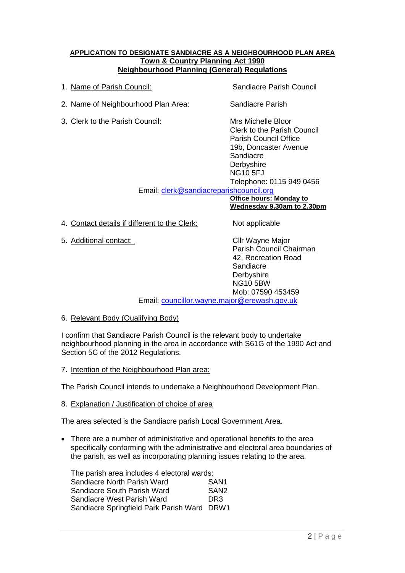## **APPLICATION TO DESIGNATE SANDIACRE AS A NEIGHBOURHOOD PLAN AREA Town & Country Planning Act 1990 Neighbourhood Planning (General) Regulations**

| 1. Name of Parish Council:                                                 | Sandiacre Parish Council                                                                                                                                                                                                                      |
|----------------------------------------------------------------------------|-----------------------------------------------------------------------------------------------------------------------------------------------------------------------------------------------------------------------------------------------|
| 2. Name of Neighbourhood Plan Area:                                        | Sandiacre Parish                                                                                                                                                                                                                              |
| 3. Clerk to the Parish Council:<br>Email: clerk@sandiacreparishcouncil.org | Mrs Michelle Bloor<br>Clerk to the Parish Council<br>Parish Council Office<br>19b, Doncaster Avenue<br>Sandiacre<br>Derbyshire<br><b>NG10 5FJ</b><br>Telephone: 0115 949 0456<br><b>Office hours: Monday to</b><br>Wednesday 9.30am to 2.30pm |
| Contact details if different to the Clerk:                                 | Not applicable                                                                                                                                                                                                                                |

5. Additional contact: Cllr Wayne Major

Parish Council Chairman 42, Recreation Road Sandiacre **Derbyshire** NG10 5BW Mob: 07590 453459

Email: [councillor.wayne.major@erewash.gov.uk](mailto:councillor.wayne.major@erewash.gov.uk)

6. Relevant Body (Qualifying Body)

I confirm that Sandiacre Parish Council is the relevant body to undertake neighbourhood planning in the area in accordance with S61G of the 1990 Act and Section 5C of the 2012 Regulations.

7. Intention of the Neighbourhood Plan area:

The Parish Council intends to undertake a Neighbourhood Development Plan.

8. Explanation / Justification of choice of area

The area selected is the Sandiacre parish Local Government Area.

 There are a number of administrative and operational benefits to the area specifically conforming with the administrative and electoral area boundaries of the parish, as well as incorporating planning issues relating to the area.

The parish area includes 4 electoral wards: Sandiacre North Parish Ward SAN1 Sandiacre South Parish Ward SAN2 Sandiacre West Parish Ward DR3 Sandiacre Springfield Park Parish Ward DRW1